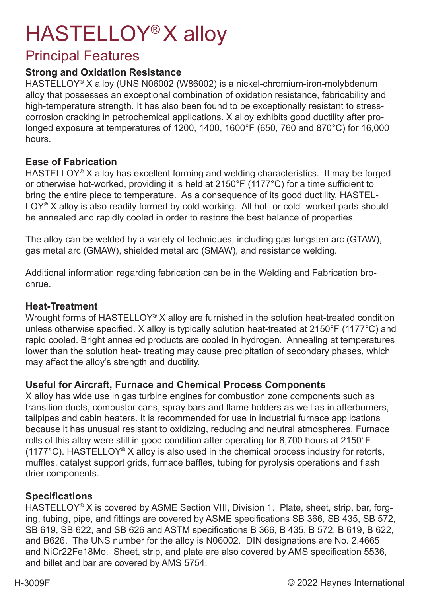# HASTELLOY® X alloy

### Principal Features

#### **Strong and Oxidation Resistance**

HASTELLOY® X alloy (UNS N06002 (W86002) is a nickel-chromium-iron-molybdenum alloy that possesses an exceptional combination of oxidation resistance, fabricability and high-temperature strength. It has also been found to be exceptionally resistant to stresscorrosion cracking in petrochemical applications. X alloy exhibits good ductility after prolonged exposure at temperatures of 1200, 1400, 1600°F (650, 760 and 870°C) for 16,000 hours.

#### **Ease of Fabrication**

HASTELLOY<sup>®</sup> X alloy has excellent forming and welding characteristics. It may be forged or otherwise hot-worked, providing it is held at 2150°F (1177°C) for a time sufficient to bring the entire piece to temperature. As a consequence of its good ductility, HASTEL-LOY<sup>®</sup> X alloy is also readily formed by cold-working. All hot- or cold- worked parts should be annealed and rapidly cooled in order to restore the best balance of properties.

The alloy can be welded by a variety of techniques, including gas tungsten arc (GTAW), gas metal arc (GMAW), shielded metal arc (SMAW), and resistance welding.

Additional information regarding fabrication can be in the Welding and Fabrication brochrue.

#### **Heat-Treatment**

Wrought forms of HASTELLOY® X alloy are furnished in the solution heat-treated condition unless otherwise specified. X alloy is typically solution heat-treated at 2150°F (1177°C) and rapid cooled. Bright annealed products are cooled in hydrogen. Annealing at temperatures lower than the solution heat- treating may cause precipitation of secondary phases, which may affect the alloy's strength and ductility.

#### **Useful for Aircraft, Furnace and Chemical Process Components**

X alloy has wide use in gas turbine engines for combustion zone components such as transition ducts, combustor cans, spray bars and flame holders as well as in afterburners, tailpipes and cabin heaters. It is recommended for use in industrial furnace applications because it has unusual resistant to oxidizing, reducing and neutral atmospheres. Furnace rolls of this alloy were still in good condition after operating for 8,700 hours at 2150°F (1177 $^{\circ}$ C). HASTELLOY<sup>®</sup> X alloy is also used in the chemical process industry for retorts, muffles, catalyst support grids, furnace baffles, tubing for pyrolysis operations and flash drier components.

#### **Specifications**

HASTELLOY<sup>®</sup> X is covered by ASME Section VIII, Division 1. Plate, sheet, strip, bar, forging, tubing, pipe, and fittings are covered by ASME specifications SB 366, SB 435, SB 572, SB 619, SB 622, and SB 626 and ASTM specifications B 366, B 435, B 572, B 619, B 622, and B626. The UNS number for the alloy is N06002. DIN designations are No. 2.4665 and NiCr22Fe18Mo. Sheet, strip, and plate are also covered by AMS specification 5536, and billet and bar are covered by AMS 5754.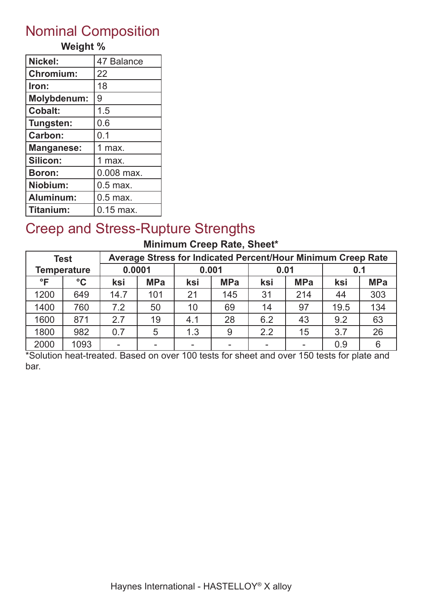### Nominal Composition

### **Weight %**

| Nickel:            | 47 Balance   |
|--------------------|--------------|
| Chromium:          | 22           |
| Iron:              | 18           |
| <b>Molybdenum:</b> | 9            |
| <b>Cobalt:</b>     | 1.5          |
| Tungsten:          | 0.6          |
| Carbon:            | 0.1          |
| <b>Manganese:</b>  | 1 max.       |
| Silicon:           | $1$ max.     |
| <b>Boron:</b>      | $0.008$ max. |
| Niobium:           | $0.5$ max.   |
| Aluminum:          | $0.5$ max.   |
| Titanium:          | $0.15$ max.  |

### Creep and Stress-Rupture Strengths

### **Minimum Creep Rate, Sheet\***

|                    | <b>Test</b>     | Average Stress for Indicated Percent/Hour Minimum Creep Rate |            |     |            |                |            |      |            |  |
|--------------------|-----------------|--------------------------------------------------------------|------------|-----|------------|----------------|------------|------|------------|--|
| <b>Temperature</b> |                 | 0.0001                                                       |            |     | 0.001      |                | 0.01       |      | 0.1        |  |
| $^{\circ}$ F       | $\rm ^{\circ}C$ | ksi                                                          | <b>MPa</b> | ksi | <b>MPa</b> | ksi            | <b>MPa</b> | ksi  | <b>MPa</b> |  |
| 1200               | 649             | 14.7                                                         | 101        | 21  | 145        | 31             | 214        | 44   | 303        |  |
| 1400               | 760             | 7.2                                                          | 50         | 10  | 69         | 14             | 97         | 19.5 | 134        |  |
| 1600               | 871             | 2.7                                                          | 19         | 4.1 | 28         | 6.2            | 43         | 9.2  | 63         |  |
| 1800               | 982             | 0.7                                                          | 5          | 1.3 | 9          | 2.2            | 15         | 3.7  | 26         |  |
| 2000               | 1093            |                                                              |            |     |            | $\blacksquare$ |            | 0.9  | 6          |  |

\*Solution heat-treated. Based on over 100 tests for sheet and over 150 tests for plate and bar.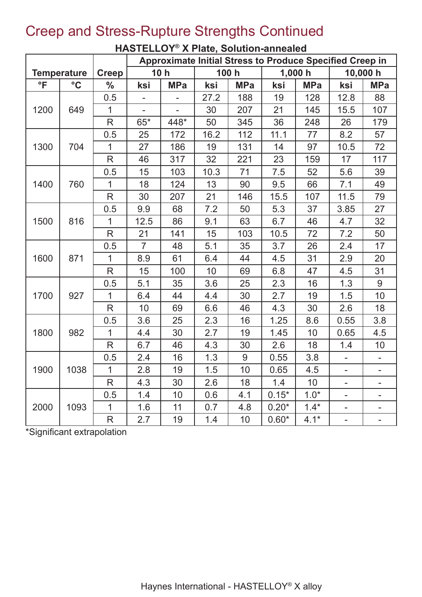|                   |                    |               |                | <b>Approximate Initial Stress to Produce Specified Creep in</b> |      |            |         |            |                          |                          |  |
|-------------------|--------------------|---------------|----------------|-----------------------------------------------------------------|------|------------|---------|------------|--------------------------|--------------------------|--|
|                   | <b>Temperature</b> | <b>Creep</b>  |                | 10h                                                             |      | 100 h      |         | 1,000h     |                          | 10,000 h                 |  |
| $\overline{\ }$ F | $\rm ^{\circ}C$    | $\frac{0}{0}$ | ksi            | <b>MPa</b>                                                      | ksi  | <b>MPa</b> | ksi     | <b>MPa</b> | ksi                      | <b>MPa</b>               |  |
|                   |                    | 0.5           |                |                                                                 | 27.2 | 188        | 19      | 128        | 12.8                     | 88                       |  |
| 1200              | 649                | $\mathbf{1}$  |                |                                                                 | 30   | 207        | 21      | 145        | 15.5                     | 107                      |  |
|                   |                    | $\mathsf{R}$  | $65*$          | 448*                                                            | 50   | 345        | 36      | 248        | 26                       | 179                      |  |
|                   |                    | 0.5           | 25             | 172                                                             | 16.2 | 112        | 11.1    | 77         | 8.2                      | 57                       |  |
| 1300              | 704                | 1             | 27             | 186                                                             | 19   | 131        | 14      | 97         | 10.5                     | 72                       |  |
|                   |                    | $\mathsf{R}$  | 46             | 317                                                             | 32   | 221        | 23      | 159        | 17                       | 117                      |  |
|                   |                    | 0.5           | 15             | 103                                                             | 10.3 | 71         | 7.5     | 52         | 5.6                      | 39                       |  |
| 1400              | 760                | $\mathbf{1}$  | 18             | 124                                                             | 13   | 90         | 9.5     | 66         | 7.1                      | 49                       |  |
|                   |                    | $\mathsf{R}$  | 30             | 207                                                             | 21   | 146        | 15.5    | 107        | 11.5                     | 79                       |  |
|                   |                    | 0.5           | 9.9            | 68                                                              | 7.2  | 50         | 5.3     | 37         | 3.85                     | 27                       |  |
| 1500              | 816                | 1             | 12.5           | 86                                                              | 9.1  | 63         | 6.7     | 46         | 4.7                      | 32                       |  |
|                   |                    | $\mathsf{R}$  | 21             | 141                                                             | 15   | 103        | 10.5    | 72         | 7.2                      | 50                       |  |
|                   |                    | 0.5           | $\overline{7}$ | 48                                                              | 5.1  | 35         | 3.7     | 26         | 2.4                      | 17                       |  |
| 1600              | 871                | 1             | 8.9            | 61                                                              | 6.4  | 44         | 4.5     | 31         | 2.9                      | 20                       |  |
|                   |                    | $\mathsf{R}$  | 15             | 100                                                             | 10   | 69         | 6.8     | 47         | 4.5                      | 31                       |  |
|                   |                    | 0.5           | 5.1            | 35                                                              | 3.6  | 25         | 2.3     | 16         | 1.3                      | 9                        |  |
| 1700              | 927                | 1             | 6.4            | 44                                                              | 4.4  | 30         | 2.7     | 19         | 1.5                      | 10                       |  |
|                   |                    | $\mathsf{R}$  | 10             | 69                                                              | 6.6  | 46         | 4.3     | 30         | 2.6                      | 18                       |  |
|                   |                    | 0.5           | 3.6            | 25                                                              | 2.3  | 16         | 1.25    | 8.6        | 0.55                     | 3.8                      |  |
| 1800              | 982                | $\mathbf{1}$  | 4.4            | 30                                                              | 2.7  | 19         | 1.45    | 10         | 0.65                     | 4.5                      |  |
|                   |                    | $\mathsf{R}$  | 6.7            | 46                                                              | 4.3  | 30         | 2.6     | 18         | 1.4                      | 10                       |  |
|                   |                    | 0.5           | 2.4            | 16                                                              | 1.3  | 9          | 0.55    | 3.8        | $\blacksquare$           | $\overline{\phantom{0}}$ |  |
| 1900              | 1038               | 1             | 2.8            | 19                                                              | 1.5  | 10         | 0.65    | 4.5        | $\overline{a}$           | $\overline{\phantom{0}}$ |  |
|                   |                    | $\mathsf{R}$  | 4.3            | 30                                                              | 2.6  | 18         | 1.4     | 10         | $\blacksquare$           | $\overline{\phantom{0}}$ |  |
|                   |                    | 0.5           | 1.4            | 10                                                              | 0.6  | 4.1        | $0.15*$ | $1.0*$     | L.                       | $\blacksquare$           |  |
| 2000              | 1093               | $\mathbf 1$   | 1.6            | 11                                                              | 0.7  | 4.8        | $0.20*$ | $1.4*$     | $\overline{\phantom{0}}$ | $\overline{\phantom{0}}$ |  |
|                   |                    | $\mathsf{R}$  | 2.7            | 19                                                              | 1.4  | 10         | $0.60*$ | $4.1*$     | $\overline{a}$           |                          |  |

## Creep and Stress-Rupture Strengths Continued

**HASTELLOY® X Plate, Solution-annealed**

\*Significant extrapolation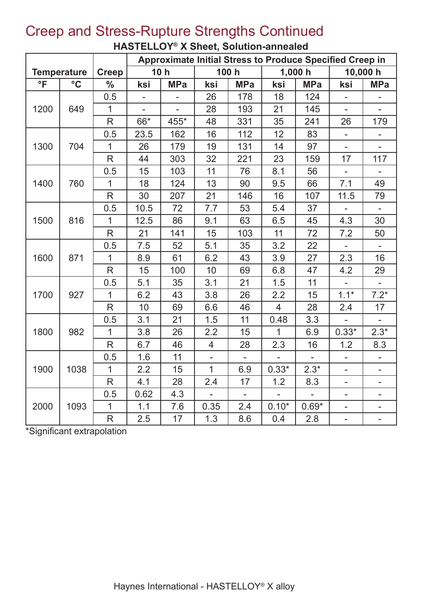|              |                    |                         | Approximate Initial Stress to Produce Specified Creep in |                 |                  |                |                |                |                          |                          |
|--------------|--------------------|-------------------------|----------------------------------------------------------|-----------------|------------------|----------------|----------------|----------------|--------------------------|--------------------------|
|              | <b>Temperature</b> | <b>Creep</b>            |                                                          | 10 <sub>h</sub> |                  | 100 h          |                | 1,000h         |                          | 10,000 h                 |
| $\mathsf{P}$ | $\rm ^{\circ}C$    | $\frac{0}{0}$           | ksi                                                      | <b>MPa</b>      | ksi              | <b>MPa</b>     | ksi            | <b>MPa</b>     | ksi                      | <b>MPa</b>               |
|              |                    | 0.5                     | $\overline{\phantom{0}}$                                 | $\overline{a}$  | 26               | 178            | 18             | 124            | $\overline{a}$           |                          |
| 1200         | 649                | 1                       |                                                          |                 | 28               | 193            | 21             | 145            | $\overline{\phantom{a}}$ |                          |
|              |                    | R                       | 66*                                                      | 455*            | 48               | 331            | 35             | 241            | 26                       | 179                      |
|              |                    | 0.5                     | 23.5                                                     | 162             | 16               | 112            | 12             | 83             | $\overline{\phantom{0}}$ |                          |
| 1300         | 704                | 1                       | 26                                                       | 179             | 19               | 131            | 14             | 97             | $\overline{\phantom{0}}$ | $\overline{\phantom{0}}$ |
|              |                    | $\mathsf{R}$            | 44                                                       | 303             | 32               | 221            | 23             | 159            | 17                       | 117                      |
|              |                    | 0.5                     | 15                                                       | 103             | 11               | 76             | 8.1            | 56             |                          |                          |
| 1400         | 760                | 1                       | 18                                                       | 124             | 13               | 90             | 9.5            | 66             | 7.1                      | 49                       |
|              |                    | $\mathsf{R}$            | 30                                                       | 207             | 21               | 146            | 16             | 107            | 11.5                     | 79                       |
|              |                    | 0.5                     | 10.5                                                     | 72              | 7.7              | 53             | 5.4            | 37             | L,                       |                          |
| 1500         | 816                | 1                       | 12.5                                                     | 86              | 9.1              | 63             | 6.5            | 45             | 4.3                      | 30                       |
|              |                    | R                       | 21                                                       | 141             | 15               | 103            | 11             | 72             | 7.2                      | 50                       |
|              |                    | 0.5                     | 7.5                                                      | 52              | 5.1              | 35             | 3.2            | 22             | $\blacksquare$           | $\overline{a}$           |
| 1600         | 871                | 1                       | 8.9                                                      | 61              | 6.2              | 43             | 3.9            | 27             | 2.3                      | 16                       |
|              |                    | $\mathsf{R}$            | 15                                                       | 100             | 10               | 69             | 6.8            | 47             | 4.2                      | 29                       |
|              |                    | 0.5                     | 5.1                                                      | 35              | 3.1              | 21             | 1.5            | 11             | $\overline{\phantom{0}}$ | $\overline{\phantom{0}}$ |
| 1700         | 927                | 1                       | 6.2                                                      | 43              | 3.8              | 26             | 2.2            | 15             | $1.1*$                   | $7.2*$                   |
|              |                    | $\overline{\mathsf{R}}$ | 10                                                       | 69              | 6.6              | 46             | $\overline{4}$ | 28             | 2.4                      | 17                       |
|              |                    | 0.5                     | 3.1                                                      | 21              | 1.5              | 11             | 0.48           | 3.3            |                          |                          |
| 1800         | 982                | 1                       | 3.8                                                      | 26              | 2.2              | 15             | $\mathbf{1}$   | 6.9            | $0.33*$                  | $2.3*$                   |
|              |                    | R                       | 6.7                                                      | 46              | 4                | 28             | 2.3            | 16             | 1.2                      | 8.3                      |
|              |                    | 0.5                     | 1.6                                                      | 11              |                  | Ξ.             | $\blacksquare$ | $\overline{a}$ | ÷,                       |                          |
| 1900         | 1038               | $\mathbf{1}$            | 2.2                                                      | 15              | $\overline{1}$   | 6.9            | $0.33*$        | $2.3*$         |                          |                          |
|              |                    | R                       | 4.1                                                      | 28              | 2.4              | 17             | 1.2            | 8.3            | -                        |                          |
|              |                    | 0.5                     | 0.62                                                     | 4.3             | $\omega_{\rm c}$ | $\blacksquare$ | $\sim$         | $\sim$         | ۰                        |                          |
| 2000         | 1093               | $\mathbf{1}$            | 1.1                                                      | 7.6             | 0.35             | 2.4            | $0.10*$        | $0.69*$        | -                        |                          |
|              |                    | R                       | 2.5                                                      | 17              | 1.3              | 8.6            | 0.4            | 2.8            | -                        |                          |

### Creep and Stress-Rupture Strengths Continued **HASTELLOY® X Sheet, Solution-annealed**

\*Significant extrapolation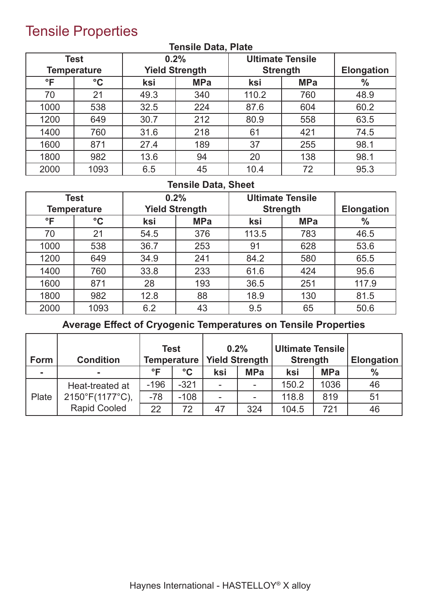### Tensile Properties

| <b>Test</b><br><b>Temperature</b> |                 |      | 0.2%<br><b>Yield Strength</b> | <b>Ultimate Tensile</b><br><b>Strength</b> | <b>Elongation</b> |      |
|-----------------------------------|-----------------|------|-------------------------------|--------------------------------------------|-------------------|------|
| $\mathsf{P}$                      | $\rm ^{\circ}C$ | ksi  | <b>MPa</b>                    | ksi                                        | <b>MPa</b>        | $\%$ |
| 70                                | 21              | 49.3 | 340                           | 110.2                                      | 760               | 48.9 |
| 1000                              | 538             | 32.5 | 224                           | 87.6                                       | 604               | 60.2 |
| 1200                              | 649             | 30.7 | 212                           | 80.9                                       | 558               | 63.5 |
| 1400                              | 760             | 31.6 | 218                           | 61                                         | 421               | 74.5 |
| 1600                              | 871             | 27.4 | 189                           | 37                                         | 255               | 98.1 |
| 1800                              | 982             | 13.6 | 94                            | 20                                         | 138               | 98.1 |
| 2000                              | 1093            | 6.5  | 45                            | 10.4                                       | 72                | 95.3 |

#### **Tensile Data, Plate**

### **Tensile Data, Sheet**

| <b>Test</b>  |                    | 0.2%                  |            |                 | <b>Ultimate Tensile</b> |               |
|--------------|--------------------|-----------------------|------------|-----------------|-------------------------|---------------|
|              | <b>Temperature</b> | <b>Yield Strength</b> |            | <b>Strength</b> | <b>Elongation</b>       |               |
| $\mathsf{P}$ | $\rm ^{\circ}C$    | ksi                   | <b>MPa</b> | ksi             | <b>MPa</b>              | $\frac{0}{0}$ |
| 70           | 21                 | 54.5                  | 376        | 113.5           | 783                     | 46.5          |
| 1000         | 538                | 36.7                  | 253        | 91              | 628                     | 53.6          |
| 1200         | 649                | 34.9                  | 241        | 84.2            | 580                     | 65.5          |
| 1400         | 760                | 33.8                  | 233        | 61.6            | 424                     | 95.6          |
| 1600         | 871                | 28                    | 193        | 36.5            | 251                     | 117.9         |
| 1800         | 982                | 12.8                  | 88         | 18.9            | 130                     | 81.5          |
| 2000         | 1093               | 6.2                   | 43         | 9.5             | 65                      | 50.6          |

**Average Effect of Cryogenic Temperatures on Tensile Properties**

| Form           | <b>Condition</b>                | <b>Test</b><br>Temperature |                 | 0.2%<br><b>Yield Strength</b> |                | Ultimate Tensile<br><b>Strength</b> |            | <b>Elongation</b> |
|----------------|---------------------------------|----------------------------|-----------------|-------------------------------|----------------|-------------------------------------|------------|-------------------|
| $\blacksquare$ |                                 | $^{\circ}$                 | $\rm ^{\circ}C$ | ksi                           | <b>MPa</b>     | ksi                                 | <b>MPa</b> | $\frac{0}{0}$     |
|                | Heat-treated at                 | $-196$                     | $-321$          | $\overline{\phantom{0}}$      | $\blacksquare$ | 150.2                               | 1036       | 46                |
| Plate          | $2150^{\circ}F(1177^{\circ}C),$ | $-78$                      | $-108$          | $\blacksquare$                |                | 118.8                               | 819        | 51                |
|                | <b>Rapid Cooled</b>             | 22                         | 72              | 47                            | 324            | 104.5                               | 721        | 46                |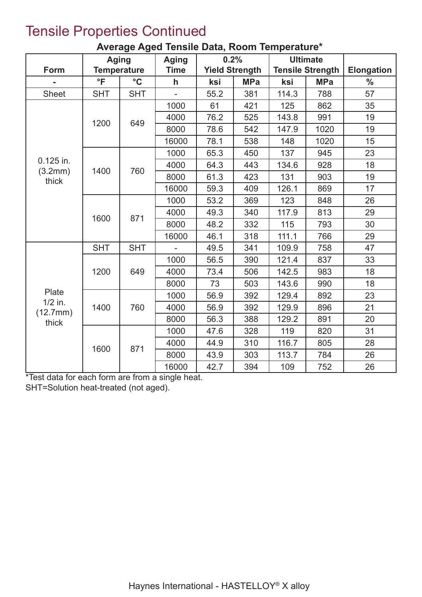### Tensile Properties Continued

| <b>Aging</b><br><b>Temperature</b> |            | <b>Aging</b>    | 0.2%           |                       |            | <b>Ultimate</b> |                         |                   |
|------------------------------------|------------|-----------------|----------------|-----------------------|------------|-----------------|-------------------------|-------------------|
| Form                               |            |                 | <b>Time</b>    | <b>Yield Strength</b> |            |                 | <b>Tensile Strength</b> | <b>Elongation</b> |
|                                    | $\circ$ F  | $\rm ^{\circ}C$ | h              | ksi                   | <b>MPa</b> | ksi             | <b>MPa</b>              | $\frac{0}{0}$     |
| <b>Sheet</b>                       | <b>SHT</b> | <b>SHT</b>      | $\overline{a}$ | 55.2                  | 381        | 114.3           | 788                     | 57                |
|                                    |            |                 | 1000           | 61                    | 421        | 125             | 862                     | 35                |
|                                    | 1200       | 649             | 4000           | 76.2                  | 525        | 143.8           | 991                     | 19                |
|                                    |            |                 | 8000           | 78.6                  | 542        | 147.9           | 1020                    | 19                |
|                                    |            |                 | 16000          | 78.1                  | 538        | 148             | 1020                    | 15                |
|                                    |            |                 | 1000           | 65.3                  | 450        | 137             | 945                     | 23                |
| 0.125 in.<br>(3.2mm)               | 1400       | 760             | 4000           | 64.3                  | 443        | 134.6           | 928                     | 18                |
| thick                              |            |                 | 8000           | 61.3                  | 423        | 131             | 903                     | 19                |
|                                    |            |                 | 16000          | 59.3                  | 409        | 126.1           | 869                     | 17                |
|                                    |            | 871             | 1000           | 53.2                  | 369        | 123             | 848                     | 26                |
|                                    | 1600       |                 | 4000           | 49.3                  | 340        | 117.9           | 813                     | 29                |
|                                    |            |                 | 8000           | 48.2                  | 332        | 115             | 793                     | 30                |
|                                    |            |                 | 16000          | 46.1                  | 318        | 111.1           | 766                     | 29                |
|                                    | <b>SHT</b> | <b>SHT</b>      | $\overline{a}$ | 49.5                  | 341        | 109.9           | 758                     | 47                |
|                                    |            |                 | 1000           | 56.5                  | 390        | 121.4           | 837                     | 33                |
|                                    | 1200       | 649             | 4000           | 73.4                  | 506        | 142.5           | 983                     | 18                |
|                                    |            |                 | 8000           | 73                    | 503        | 143.6           | 990                     | 18                |
| Plate                              |            |                 | 1000           | 56.9                  | 392        | 129.4           | 892                     | 23                |
| $1/2$ in.<br>(12.7mm)              | 1400       | 760             | 4000           | 56.9                  | 392        | 129.9           | 896                     | 21                |
| thick                              |            |                 | 8000           | 56.3                  | 388        | 129.2           | 891                     | 20                |
|                                    |            |                 | 1000           | 47.6                  | 328        | 119             | 820                     | 31                |
|                                    | 1600       | 871             | 4000           | 44.9                  | 310        | 116.7           | 805                     | 28                |
|                                    |            |                 | 8000           | 43.9                  | 303        | 113.7           | 784                     | 26                |
|                                    |            |                 | 16000          | 42.7                  | 394        | 109             | 752                     | 26                |

### **Average Aged Tensile Data, Room Temperature\***

\*Test data for each form are from a single heat.

SHT=Solution heat-treated (not aged).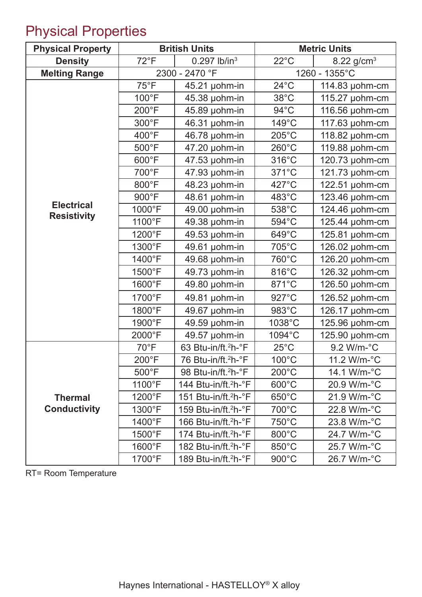## Physical Properties

| <b>Physical Property</b>                |                 | <b>British Units</b>             |                 | <b>Metric Units</b> |
|-----------------------------------------|-----------------|----------------------------------|-----------------|---------------------|
| <b>Density</b>                          | $72^{\circ}F$   | $0.297$ lb/in <sup>3</sup>       | $22^{\circ}$ C  | 8.22 $g/cm^{3}$     |
| <b>Melting Range</b>                    |                 | 2300 - 2470 °F                   |                 | 1260 - 1355°C       |
|                                         | $75^{\circ}$ F  | 45.21 µohm-in                    | $24^{\circ}$ C  | 114.83 µohm-cm      |
|                                         | $100^{\circ}$ F | 45.38 µohm-in                    | $38^{\circ}$ C  | 115.27 µohm-cm      |
|                                         | 200°F           | 45.89 µohm-in                    | $94^{\circ}$ C  | 116.56 µohm-cm      |
|                                         | 300°F           | 46.31 µohm-in                    | 149°C           | 117.63 µohm-cm      |
|                                         | 400°F           | 46.78 µohm-in                    | $205^{\circ}$ C | 118.82 µohm-cm      |
|                                         | 500°F           | 47.20 µohm-in                    | 260°C           | 119.88 µohm-cm      |
|                                         | 600°F           | 47.53 µohm-in                    | 316°C           | 120.73 µohm-cm      |
|                                         | 700°F           | 47.93 µohm-in                    | 371°C           | 121.73 µohm-cm      |
|                                         | 800°F           | 48.23 µohm-in                    | 427°C           | 122.51 µohm-cm      |
|                                         | 900°F           | 48.61 µohm-in                    | 483°C           | 123.46 µohm-cm      |
| <b>Electrical</b><br><b>Resistivity</b> | 1000°F          | 49.00 µohm-in                    | 538°C           | 124.46 µohm-cm      |
|                                         | 1100°F          | 49.38 µohm-in                    | 594°C           | 125.44 µohm-cm      |
|                                         | 1200°F          | 49.53 µohm-in                    | 649°C           | 125.81 µohm-cm      |
|                                         | 1300°F          | 49.61 µohm-in                    | 705°C           | 126.02 µohm-cm      |
|                                         | 1400°F          | 49.68 µohm-in                    | 760°C           | 126.20 µohm-cm      |
|                                         | 1500°F          | 49.73 µohm-in                    | 816°C           | 126.32 µohm-cm      |
|                                         | 1600°F          | 49.80 µohm-in                    | 871°C           | 126.50 µohm-cm      |
|                                         | 1700°F          | 49.81 µohm-in                    | 927°C           | 126.52 µohm-cm      |
|                                         | 1800°F          | 49.67 µohm-in                    | 983°C           | 126.17 µohm-cm      |
|                                         | 1900°F          | 49.59 µohm-in                    | 1038°C          | 125.96 µohm-cm      |
|                                         | 2000°F          | 49.57 µohm-in                    | 1094°C          | 125.90 µohm-cm      |
|                                         | $70^{\circ}$ F  | 63 Btu-in/ft. <sup>2</sup> h-°F  | $25^{\circ}$ C  | 9.2 W/m-°C          |
|                                         | $200^{\circ}$ F | 76 Btu-in/ft. <sup>2</sup> h-°F  | 100°C           | 11.2 W/m-°C         |
|                                         | $500^{\circ}$ F | 98 Btu-in/ft. <sup>2</sup> h-°F  | $200^{\circ}$ C | 14.1 W/m-°C         |
|                                         | 1100°F          | 144 Btu-in/ft. <sup>2</sup> h-°F | 600°C           | 20.9 W/m-°C         |
| <b>Thermal</b>                          | 1200°F          | 151 Btu-in/ft. <sup>2</sup> h-°F | 650°C           | 21.9 W/m-°C         |
| <b>Conductivity</b>                     | 1300°F          | 159 Btu-in/ft. <sup>2</sup> h-°F | 700°C           | 22.8 W/m-°C         |
|                                         | 1400°F          | 166 Btu-in/ft. <sup>2</sup> h-°F | 750°C           | 23.8 W/m-°C         |
|                                         | 1500°F          | 174 Btu-in/ft. <sup>2</sup> h-°F | 800°C           | 24.7 W/m-°C         |
|                                         | 1600°F          | 182 Btu-in/ft. <sup>2</sup> h-°F | 850°C           | 25.7 W/m-°C         |
|                                         | 1700°F          | 189 Btu-in/ft. <sup>2</sup> h-°F | 900°C           | 26.7 W/m-°C         |

RT= Room Temperature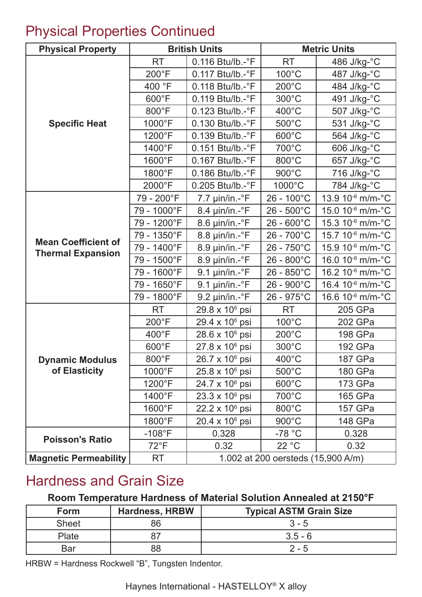### Physical Properties Continued

| <b>Physical Property</b>                               |                | <b>British Units</b>              |                      | <b>Metric Units</b>                |  |  |
|--------------------------------------------------------|----------------|-----------------------------------|----------------------|------------------------------------|--|--|
|                                                        | <b>RT</b>      | $0.116$ Btu/lb.- $\degree$ F      | <b>RT</b>            | 486 J/kg-°C                        |  |  |
|                                                        | $200^{\circ}F$ | $0.117$ Btu/lb.- $\degree$ F      | $100^{\circ}$ C      | 487 J/kg-°C                        |  |  |
|                                                        | 400 °F         | 0.118 Btu/lb.-°F                  | $200^{\circ}$ C      | 484 J/kg-°C                        |  |  |
|                                                        | 600°F          | $0.119$ Btu/lb.- $\degree$ F      | 300°C                | 491 J/kg-°C                        |  |  |
|                                                        | 800°F          | $0.123$ Btu/lb.- $\degree$ F      | 400°C                | 507 J/kg-°C                        |  |  |
| <b>Specific Heat</b>                                   | 1000°F         | $0.130$ Btu/lb.- $\degree$ F      | $500^{\circ}$ C      | 531 J/kg-°C                        |  |  |
|                                                        | 1200°F         | $0.139$ Btu/lb.- $\textdegree$ F  | 600°C                | 564 J/kg-°C                        |  |  |
|                                                        | 1400°F         | $0.151$ Btu/lb.- $\degree$ F      | 700°C                | 606 J/kg-°C                        |  |  |
|                                                        | 1600°F         | $0.167$ Btu/lb.- $\degree$ F      | 800°C                | 657 J/kg-°C                        |  |  |
|                                                        | 1800°F         | $0.186$ Btu/lb.- $\degree$ F      | 900°C                | 716 J/kg-°C                        |  |  |
|                                                        | 2000°F         | 0.205 Btu/lb.-°F                  | 1000°C               | 784 J/kg-°C                        |  |  |
|                                                        | 79 - 200°F     | $7.7 \mu$ in/in.- $\textdegree$ F | $26 - 100^{\circ}C$  | 13.9 10 <sup>-6</sup> m/m-°C       |  |  |
|                                                        | 79 - 1000°F    | 8.4 µin/in.-°F                    | $26 - 500^{\circ}$ C | 15.0 10 <sup>-6</sup> m/m-°C       |  |  |
| <b>Mean Coefficient of</b><br><b>Thermal Expansion</b> | 79 - 1200°F    | $8.6 \mu$ in/in.- $\textdegree$ F | $26 - 600^{\circ}C$  | 15.3 10 <sup>-6</sup> m/m-°C       |  |  |
|                                                        | 79 - 1350°F    | 8.8 µin/in.-°F                    | 26 - 700°C           | 15.7 10 <sup>-6</sup> m/m-°C       |  |  |
|                                                        | 79 - 1400°F    | $8.9 \mu$ in/in.- $\textdegree$ F | $26 - 750^{\circ}$ C | 15.9 10 <sup>-6</sup> m/m-°C       |  |  |
|                                                        | 79 - 1500°F    | $8.9 \mu$ in/in.- $\textdegree$ F | $26 - 800^{\circ}C$  | 16.0 10 <sup>-6</sup> m/m-°C       |  |  |
|                                                        | 79 - 1600°F    | $9.1$ µin/in.- $\degree$ F        | $26 - 850^{\circ}$ C | 16.2 10 <sup>-6</sup> m/m-°C       |  |  |
|                                                        | 79 - 1650°F    | $9.1 \mu$ in/in.- $\textdegree$ F | $26 - 900^{\circ}C$  | 16.4 10 <sup>-6</sup> m/m-°C       |  |  |
|                                                        | 79 - 1800°F    | $9.2 \mu$ in/in.- $\mathrm{P}$ F  | 26 - 975°C           | 16.6 10 <sup>-6</sup> m/m-°C       |  |  |
|                                                        | RT             | 29.8 x 10 <sup>6</sup> psi        | <b>RT</b>            | 205 GPa                            |  |  |
|                                                        | $200^{\circ}F$ | 29.4 x 10 <sup>6</sup> psi        | $100^{\circ}$ C      | 202 GPa                            |  |  |
|                                                        | 400°F          | 28.6 x 10 <sup>6</sup> psi        | $200^{\circ}$ C      | 198 GPa                            |  |  |
|                                                        | 600°F          | 27.8 x 10 <sup>6</sup> psi        | 300°C                | 192 GPa                            |  |  |
| <b>Dynamic Modulus</b>                                 | 800°F          | 26.7 x 10 <sup>6</sup> psi        | $400^{\circ}$ C      | 187 GPa                            |  |  |
| of Elasticity                                          | 1000°F         | $25.8 \times 10^6$ psi            | $500^{\circ}$ C      | 180 GPa                            |  |  |
|                                                        | 1200°F         | $24.7 \times 10^6$ psi            | $600^{\circ}$ C      | 173 GPa                            |  |  |
|                                                        | 1400°F         | $23.3 \times 10^6$ psi            | 700°C                | 165 GPa                            |  |  |
|                                                        | 1600°F         | $22.2 \times 10^6$ psi            | 800°C                | 157 GPa                            |  |  |
|                                                        | 1800°F         | $20.4 \times 10^6$ psi            | $900^{\circ}$ C      | 148 GPa                            |  |  |
| <b>Poisson's Ratio</b>                                 | $-108$ °F      | 0.328                             | -78 $^{\circ}$ C     | 0.328                              |  |  |
|                                                        | 72°F           | 0.32                              | 22 °C                | 0.32                               |  |  |
| <b>Magnetic Permeability</b>                           | RT             |                                   |                      | 1.002 at 200 oersteds (15,900 A/m) |  |  |

### Hardness and Grain Size

### **Room Temperature Hardness of Material Solution Annealed at 2150°F**

| Form         | <b>Hardness, HRBW</b> | <b>Typical ASTM Grain Size</b> |
|--------------|-----------------------|--------------------------------|
| <b>Sheet</b> | 86                    | $3 - 5$                        |
| Plate        |                       | $3.5 - 6$                      |
| Bar          | 88                    | $2 - 5$                        |

HRBW = Hardness Rockwell "B", Tungsten Indentor.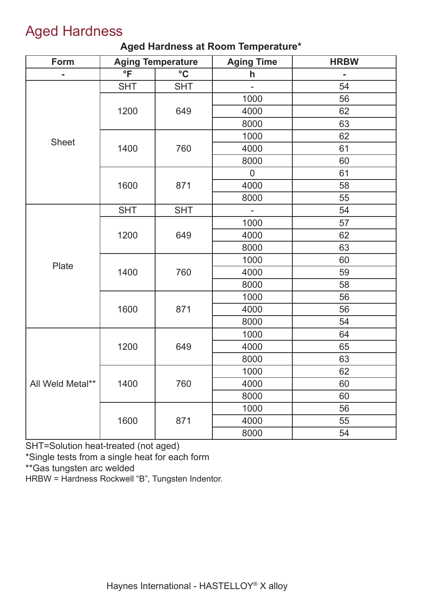### Aged Hardness

| <b>Form</b>      |              | <b>Aging Temperature</b> | <b>Aging Time</b> | <b>HRBW</b> |
|------------------|--------------|--------------------------|-------------------|-------------|
| ۰                | $\mathsf{P}$ | $\rm ^{\circ}C$          | h                 |             |
|                  | <b>SHT</b>   | <b>SHT</b>               | $\overline{a}$    | 54          |
|                  |              |                          | 1000              | 56          |
|                  | 1200         | 649                      | 4000              | 62          |
|                  |              |                          | 8000              | 63          |
|                  |              |                          | 1000              | 62          |
| <b>Sheet</b>     | 1400         | 760                      | 4000              | 61          |
|                  |              |                          | 8000              | 60          |
|                  |              |                          | $\overline{0}$    | 61          |
|                  | 1600         | 871                      | 4000              | 58          |
|                  |              |                          | 8000              | 55          |
|                  | <b>SHT</b>   | <b>SHT</b>               |                   | 54          |
|                  |              | 649                      | 1000              | 57          |
|                  | 1200         |                          | 4000              | 62          |
|                  |              |                          | 8000              | 63          |
| Plate            | 1400         |                          | 1000              | 60          |
|                  |              | 760                      | 4000              | 59          |
|                  |              |                          | 8000              | 58          |
|                  |              |                          | 1000              | 56          |
|                  | 1600         | 871                      | 4000              | 56          |
|                  |              |                          | 8000              | 54          |
|                  |              |                          | 1000              | 64          |
|                  | 1200         | 649                      | 4000              | 65          |
|                  |              |                          | 8000              | 63          |
|                  |              |                          | 1000              | 62          |
| All Weld Metal** | 1400         | 760                      | 4000              | 60          |
|                  |              |                          | 8000              | 60          |
|                  |              |                          | 1000              | 56          |
|                  | 1600         | 871                      | 4000              | 55          |
|                  |              |                          | 8000              | 54          |

**Aged Hardness at Room Temperature\***

SHT=Solution heat-treated (not aged)

\*Single tests from a single heat for each form

\*\*Gas tungsten arc welded

HRBW = Hardness Rockwell "B", Tungsten Indentor.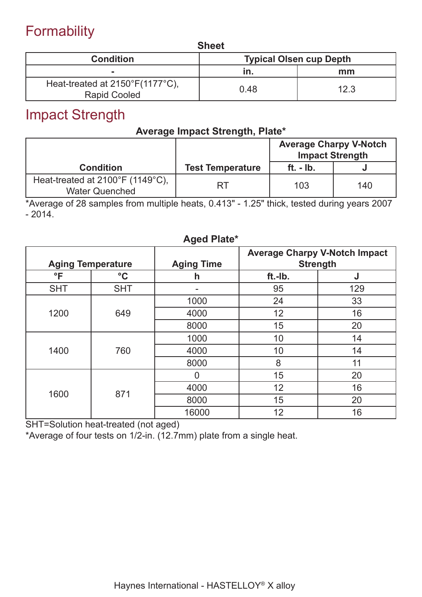### **Formability**

| <b>Sheet</b>                                                            |                                |      |  |  |  |  |  |
|-------------------------------------------------------------------------|--------------------------------|------|--|--|--|--|--|
| <b>Condition</b>                                                        | <b>Typical Olsen cup Depth</b> |      |  |  |  |  |  |
|                                                                         | ın.                            | mm   |  |  |  |  |  |
| Heat-treated at $2150^{\circ}F(1177^{\circ}C)$ ,<br><b>Rapid Cooled</b> | 0.48                           | 12.3 |  |  |  |  |  |

### Impact Strength

### **Average Impact Strength, Plate\***

|                                                           |                         | <b>Average Charpy V-Notch</b><br><b>Impact Strength</b> |     |
|-----------------------------------------------------------|-------------------------|---------------------------------------------------------|-----|
| <b>Condition</b>                                          | <b>Test Temperature</b> | $ft. - Ib.$                                             |     |
| Heat-treated at 2100°F (1149°C),<br><b>Water Quenched</b> | RT                      | 103                                                     | 140 |

\*Average of 28 samples from multiple heats, 0.413" - 1.25" thick, tested during years 2007  $-2014.$ 

#### **Aged Plate\***

| <b>Aging Temperature</b> |                 | <b>Aging Time</b> | <b>Average Charpy V-Notch Impact</b><br><b>Strength</b> |     |  |
|--------------------------|-----------------|-------------------|---------------------------------------------------------|-----|--|
| $\mathsf{P}$             | $\rm ^{\circ}C$ | h                 | ft.-Ib.                                                 | J   |  |
| <b>SHT</b>               | <b>SHT</b>      |                   | 95                                                      | 129 |  |
|                          |                 | 1000              | 24                                                      | 33  |  |
| 1200                     | 649             | 4000              | 12                                                      | 16  |  |
|                          |                 | 8000              | 15                                                      | 20  |  |
|                          |                 | 1000              | 10                                                      | 14  |  |
| 1400                     | 760             | 4000              | 10                                                      | 14  |  |
|                          |                 | 8000              | 8                                                       | 11  |  |
|                          |                 | $\overline{0}$    | 15                                                      | 20  |  |
|                          |                 | 4000              | 12                                                      | 16  |  |
| 1600                     | 871             | 8000              | 15                                                      | 20  |  |
|                          |                 | 16000             | 12                                                      | 16  |  |

SHT=Solution heat-treated (not aged)

\*Average of four tests on 1/2-in. (12.7mm) plate from a single heat.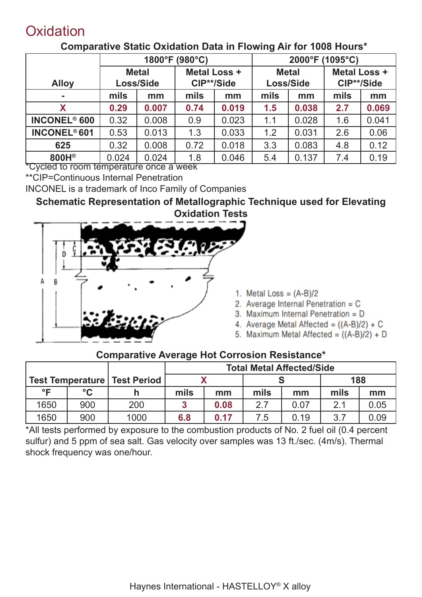### **Oxidation**

**Comparative Static Oxidation Data in Flowing Air for 1008 Hours\***

|                                | 1800°F (980°C) |              |              |            |              | 2000°F (1095°C) |              |       |
|--------------------------------|----------------|--------------|--------------|------------|--------------|-----------------|--------------|-------|
|                                |                | <b>Metal</b> | Metal Loss + |            | <b>Metal</b> |                 | Metal Loss + |       |
| <b>Alloy</b>                   |                | Loss/Side    |              | CIP**/Side |              | Loss/Side       | CIP**/Side   |       |
| $\blacksquare$                 | mils           | mm           | mils         | mm         | mils         | mm              | mils         | mm    |
| Χ                              | 0.29           | 0.007        | 0.74         | 0.019      | 1.5          | 0.038           | 2.7          | 0.069 |
| <b>INCONEL<sup>®</sup> 600</b> | 0.32           | 0.008        | 0.9          | 0.023      | 1.1          | 0.028           | 1.6          | 0.041 |
| <b>INCONEL<sup>®</sup> 601</b> | 0.53           | 0.013        | 1.3          | 0.033      | 1.2          | 0.031           | 2.6          | 0.06  |
| 625                            | 0.32           | 0.008        | 0.72         | 0.018      | 3.3          | 0.083           | 4.8          | 0.12  |
| 800H <sup>®</sup>              | 0.024          | 0.024        | 1.8          | 0.046      | 5.4          | 0.137           | 7.4          | 0.19  |

\*Cycled to room temperature once a week

\*\*CIP=Continuous Internal Penetration

INCONEL is a trademark of Inco Family of Companies

**Schematic Representation of Metallographic Technique used for Elevating Oxidation Tests**



1. Metal Loss =  $(A-B)/2$ 

2. Average Internal Penetration =  $C$ 

- 3. Maximum Internal Penetration = D
- 4. Average Metal Affected =  $((A-B)/2) + C$
- 5. Maximum Metal Affected =  $((A-B)/2) + D$

#### **Comparative Average Hot Corrosion Resistance\***

|      |                 |                                       | <b>Total Metal Affected/Side</b> |      |      |      |      |      |  |     |  |
|------|-----------------|---------------------------------------|----------------------------------|------|------|------|------|------|--|-----|--|
|      |                 | <b>Test Temperature   Test Period</b> |                                  |      |      |      |      |      |  | 188 |  |
| °⊏   | $\rm ^{\circ}C$ |                                       | mils                             | mm   | mils | mm   | mils | mm   |  |     |  |
| 1650 | 900             | 200                                   |                                  | 0.08 | 27   | 0.07 | 2.1  | 0.05 |  |     |  |
| 1650 | 900             | 1000                                  | 6.8                              | 0.17 | 7.5  | 0.19 | 3.7  | 0.09 |  |     |  |

\*All tests performed by exposure to the combustion products of No. 2 fuel oil (0.4 percent sulfur) and 5 ppm of sea salt. Gas velocity over samples was 13 ft./sec. (4m/s). Thermal shock frequency was one/hour.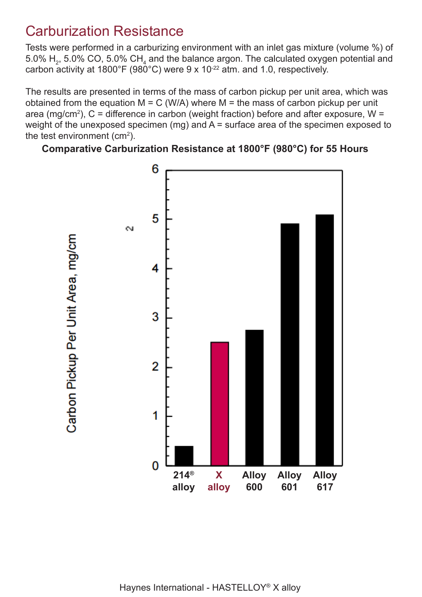### Carburization Resistance

Tests were performed in a carburizing environment with an inlet gas mixture (volume %) of 5.0% H $_{\textrm{\tiny{2}}}$ , 5.0% CO, 5.0% CH $_{\textrm{\tiny{4}}}$  and the balance argon. The calculated oxygen potential and carbon activity at 1800°F (980°C) were 9 x 10<sup>-22</sup> atm. and 1.0, respectively.

The results are presented in terms of the mass of carbon pickup per unit area, which was obtained from the equation  $M = C (W/A)$  where  $M =$  the mass of carbon pickup per unit area (mg/cm2 ), C = difference in carbon (weight fraction) before and after exposure, W = weight of the unexposed specimen (mg) and A = surface area of the specimen exposed to the test environment ( $\text{cm}^2$ ).

#### **Comparative Carburization Resistance at 1800°F (980°C) for 55 Hours**

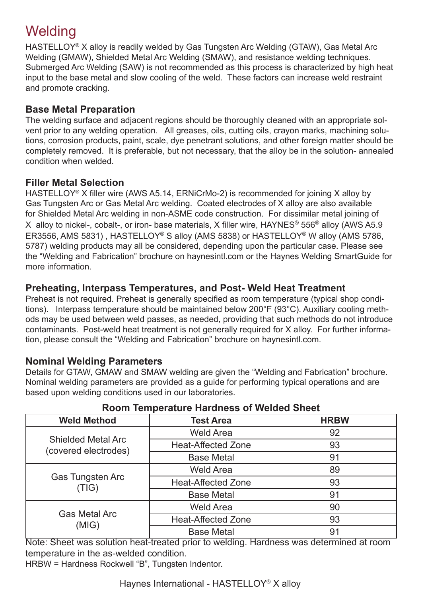### **Welding**

HASTELLOY® X alloy is readily welded by Gas Tungsten Arc Welding (GTAW), Gas Metal Arc Welding (GMAW), Shielded Metal Arc Welding (SMAW), and resistance welding techniques. Submerged Arc Welding (SAW) is not recommended as this process is characterized by high heat input to the base metal and slow cooling of the weld. These factors can increase weld restraint and promote cracking.

#### **Base Metal Preparation**

The welding surface and adjacent regions should be thoroughly cleaned with an appropriate solvent prior to any welding operation. All greases, oils, cutting oils, crayon marks, machining solutions, corrosion products, paint, scale, dye penetrant solutions, and other foreign matter should be completely removed. It is preferable, but not necessary, that the alloy be in the solution- annealed condition when welded.

#### **Filler Metal Selection**

HASTELLOY® X filler wire (AWS A5.14, ERNiCrMo-2) is recommended for joining X alloy by Gas Tungsten Arc or Gas Metal Arc welding. Coated electrodes of X alloy are also available for Shielded Metal Arc welding in non-ASME code construction. For dissimilar metal joining of X alloy to nickel-, cobalt-, or iron- base materials, X filler wire, HAYNES® 556® alloy (AWS A5.9 ER3556, AMS 5831) , HASTELLOY® S alloy (AMS 5838) or HASTELLOY® W alloy (AMS 5786, 5787) welding products may all be considered, depending upon the particular case. Please see the "Welding and Fabrication" brochure on haynesintl.com or the Haynes Welding SmartGuide for more information.

#### **Preheating, Interpass Temperatures, and Post- Weld Heat Treatment**

Preheat is not required. Preheat is generally specified as room temperature (typical shop conditions). Interpass temperature should be maintained below 200°F (93°C). Auxiliary cooling methods may be used between weld passes, as needed, providing that such methods do not introduce contaminants. Post-weld heat treatment is not generally required for X alloy. For further information, please consult the "Welding and Fabrication" brochure on haynesintl.com.

#### **Nominal Welding Parameters**

Details for GTAW, GMAW and SMAW welding are given the "Welding and Fabrication" brochure. Nominal welding parameters are provided as a guide for performing typical operations and are based upon welding conditions used in our laboratories.

| <b>Weld Method</b>                                | <b>Test Area</b>          | <b>HRBW</b> |  |  |  |  |
|---------------------------------------------------|---------------------------|-------------|--|--|--|--|
|                                                   | <b>Weld Area</b>          | 92          |  |  |  |  |
| <b>Shielded Metal Arc</b><br>(covered electrodes) | <b>Heat-Affected Zone</b> | 93          |  |  |  |  |
|                                                   | <b>Base Metal</b>         | 91          |  |  |  |  |
|                                                   | <b>Weld Area</b>          | 89          |  |  |  |  |
| <b>Gas Tungsten Arc</b><br>(TIG)                  | <b>Heat-Affected Zone</b> | 93          |  |  |  |  |
|                                                   | <b>Base Metal</b>         | 91          |  |  |  |  |
|                                                   | <b>Weld Area</b>          | 90          |  |  |  |  |
| <b>Gas Metal Arc</b>                              | <b>Heat-Affected Zone</b> | 93          |  |  |  |  |
| (MIG)                                             | <b>Base Metal</b>         | 91          |  |  |  |  |

#### **Room Temperature Hardness of Welded Sheet**

Note: Sheet was solution heat-treated prior to welding. Hardness was determined at room temperature in the as-welded condition.

HRBW = Hardness Rockwell "B", Tungsten Indentor.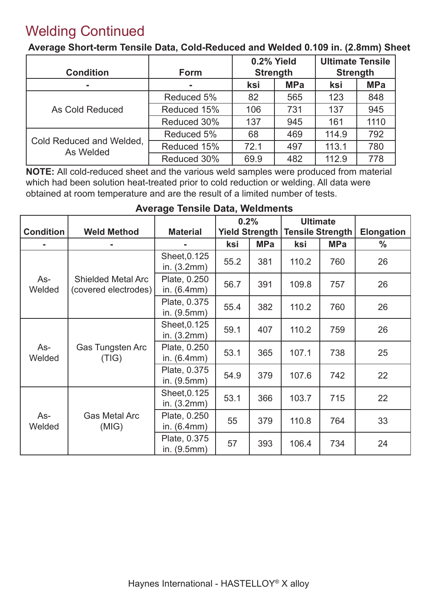### Welding Continued

**Average Short-term Tensile Data, Cold-Reduced and Welded 0.109 in. (2.8mm) Sheet**

| <b>Condition</b>                      | Form        | 0.2% Yield<br><b>Strength</b> |            | <b>Ultimate Tensile</b><br><b>Strength</b> |            |
|---------------------------------------|-------------|-------------------------------|------------|--------------------------------------------|------------|
| ٠                                     |             | ksi                           | <b>MPa</b> | ksi                                        | <b>MPa</b> |
|                                       | Reduced 5%  | 82                            | 565        | 123                                        | 848        |
| As Cold Reduced                       | Reduced 15% | 106                           | 731        | 137                                        | 945        |
|                                       | Reduced 30% | 137                           | 945        | 161                                        | 1110       |
|                                       | Reduced 5%  | 68                            | 469        | 114.9                                      | 792        |
| Cold Reduced and Welded,<br>As Welded | Reduced 15% | 72.1                          | 497        | 113.1                                      | 780        |
|                                       | Reduced 30% | 69.9                          | 482        | 112.9                                      | 778        |

**NOTE:** All cold-reduced sheet and the various weld samples were produced from material which had been solution heat-treated prior to cold reduction or welding. All data were obtained at room temperature and are the result of a limited number of tests.

| <b>Condition</b> | <b>Weld Method</b>                                | <b>Material</b>               | 0.2% |            | <b>Ultimate</b><br>Yield Strength   Tensile Strength |            | <b>Elongation</b> |
|------------------|---------------------------------------------------|-------------------------------|------|------------|------------------------------------------------------|------------|-------------------|
|                  |                                                   |                               | ksi  | <b>MPa</b> | ksi                                                  | <b>MPa</b> | $\frac{0}{0}$     |
|                  |                                                   | Sheet, 0.125<br>in. $(3.2mm)$ | 55.2 | 381        | 110.2                                                | 760        | 26                |
| As-<br>Welded    | <b>Shielded Metal Arc</b><br>(covered electrodes) | Plate, 0.250<br>in. $(6.4mm)$ | 56.7 | 391        | 109.8                                                | 757        | 26                |
|                  |                                                   | Plate, 0.375<br>in. (9.5mm)   | 55.4 | 382        | 110.2                                                | 760        | 26                |
|                  |                                                   | Sheet, 0.125<br>in. $(3.2mm)$ | 59.1 | 407        | 110.2                                                | 759        | 26                |
| As-<br>Welded    | <b>Gas Tungsten Arc</b><br>(TIG)                  | Plate, 0.250<br>in. $(6.4mm)$ | 53.1 | 365        | 107.1                                                | 738        | 25                |
|                  |                                                   | Plate, 0.375<br>in. (9.5mm)   | 54.9 | 379        | 107.6                                                | 742        | 22                |
|                  |                                                   | Sheet, 0.125<br>in. (3.2mm)   | 53.1 | 366        | 103.7                                                | 715        | 22                |
| As-<br>Welded    | <b>Gas Metal Arc</b><br>(MIG)                     | Plate, 0.250<br>in. $(6.4mm)$ | 55   | 379        | 110.8                                                | 764        | 33                |
|                  |                                                   | Plate, 0.375<br>in. (9.5mm)   | 57   | 393        | 106.4                                                | 734        | 24                |

#### **Average Tensile Data, Weldments**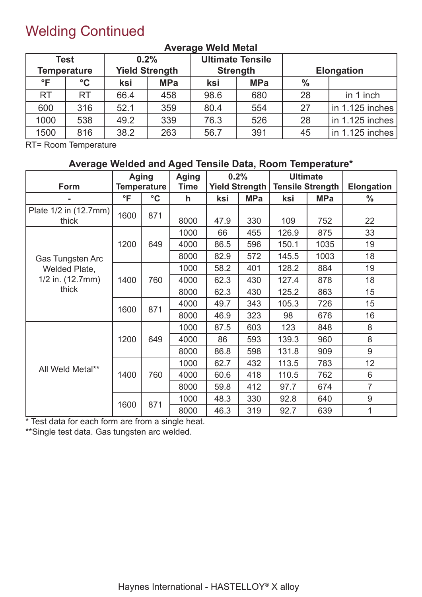### Welding Continued

| <b>Test</b><br><b>Temperature</b> |                 | 0.2%<br><b>Yield Strength</b> |            | <b>Ultimate Tensile</b><br><b>Strength</b> |            |               | <b>Elongation</b> |
|-----------------------------------|-----------------|-------------------------------|------------|--------------------------------------------|------------|---------------|-------------------|
| °F                                | $\rm ^{\circ}C$ | ksi                           | <b>MPa</b> | ksi                                        | <b>MPa</b> | $\frac{0}{0}$ |                   |
| <b>RT</b>                         | <b>RT</b>       | 66.4                          | 458        | 98.6                                       | 680        | 28            | in 1 inch         |
| 600                               | 316             | 52.1                          | 359        | 80.4                                       | 554        | 27            | in 1.125 inches   |
| 1000                              | 538             | 49.2                          | 339        | 76.3                                       | 526        | 28            | in 1.125 inches   |
| 1500                              | 816             | 38.2                          | 263        | 56.7                                       | 391        | 45            | in 1.125 inches   |

#### **Average Weld Metal**

RT= Room Temperature

### **Average Welded and Aged Tensile Data, Room Temperature\***

|                                | Aging              |                 | <b>Aging</b> | 0.2% |                | <b>Ultimate</b>         |            |                   |
|--------------------------------|--------------------|-----------------|--------------|------|----------------|-------------------------|------------|-------------------|
| <b>Form</b>                    | <b>Temperature</b> |                 | <b>Time</b>  |      | Yield Strength | <b>Tensile Strength</b> |            | <b>Elongation</b> |
|                                | °F                 | $\rm ^{\circ}C$ | h            | ksi  | <b>MPa</b>     | ksi                     | <b>MPa</b> | $\frac{0}{0}$     |
| Plate 1/2 in (12.7mm)<br>thick | 1600               | 871             | 8000         | 47.9 | 330            | 109                     | 752        | 22                |
|                                |                    |                 | 1000         | 66   | 455            | 126.9                   | 875        | 33                |
|                                | 1200               | 649             | 4000         | 86.5 | 596            | 150.1                   | 1035       | 19                |
| <b>Gas Tungsten Arc</b>        |                    |                 | 8000         | 82.9 | 572            | 145.5                   | 1003       | 18                |
| Welded Plate,                  |                    |                 | 1000         | 58.2 | 401            | 128.2                   | 884        | 19                |
| $1/2$ in. $(12.7$ mm $)$       | 1400               | 760             | 4000         | 62.3 | 430            | 127.4                   | 878        | 18                |
| thick                          |                    |                 | 8000         | 62.3 | 430            | 125.2                   | 863        | 15                |
|                                |                    | 871             | 4000         | 49.7 | 343            | 105.3                   | 726        | 15                |
|                                | 1600               |                 | 8000         | 46.9 | 323            | 98                      | 676        | 16                |
|                                |                    |                 | 1000         | 87.5 | 603            | 123                     | 848        | 8                 |
|                                | 1200               | 649             | 4000         | 86   | 593            | 139.3                   | 960        | 8                 |
|                                |                    |                 | 8000         | 86.8 | 598            | 131.8                   | 909        | 9                 |
| All Weld Metal**               |                    |                 | 1000         | 62.7 | 432            | 113.5                   | 783        | 12 <sub>2</sub>   |
|                                | 1400               | 760             | 4000         | 60.6 | 418            | 110.5                   | 762        | 6                 |
|                                |                    |                 | 8000         | 59.8 | 412            | 97.7                    | 674        | $\overline{7}$    |
|                                | 1600               |                 | 1000         | 48.3 | 330            | 92.8                    | 640        | $9$               |
|                                |                    | 871             | 8000         | 46.3 | 319            | 92.7                    | 639        | 1                 |

\* Test data for each form are from a single heat.

\*\*Single test data. Gas tungsten arc welded.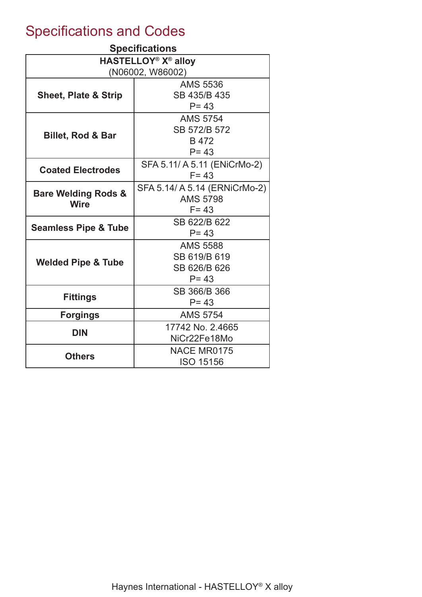## Specifications and Codes

| <b>Specifications</b>           |                               |  |  |  |  |  |
|---------------------------------|-------------------------------|--|--|--|--|--|
| <b>HASTELLOY® X® alloy</b>      |                               |  |  |  |  |  |
|                                 | (N06002, W86002)              |  |  |  |  |  |
|                                 | <b>AMS 5536</b>               |  |  |  |  |  |
| <b>Sheet, Plate &amp; Strip</b> | SB 435/B 435                  |  |  |  |  |  |
|                                 | $P = 43$                      |  |  |  |  |  |
|                                 | <b>AMS 5754</b>               |  |  |  |  |  |
| <b>Billet, Rod &amp; Bar</b>    | SB 572/B 572                  |  |  |  |  |  |
|                                 | B 472                         |  |  |  |  |  |
|                                 | $P = 43$                      |  |  |  |  |  |
| <b>Coated Electrodes</b>        | SFA 5.11/ A 5.11 (ENiCrMo-2)  |  |  |  |  |  |
|                                 | $F = 43$                      |  |  |  |  |  |
| <b>Bare Welding Rods &amp;</b>  | SFA 5.14/ A 5.14 (ERNiCrMo-2) |  |  |  |  |  |
| <b>Wire</b>                     | <b>AMS 5798</b>               |  |  |  |  |  |
|                                 | $F = 43$                      |  |  |  |  |  |
| <b>Seamless Pipe &amp; Tube</b> | SB 622/B 622                  |  |  |  |  |  |
|                                 | $P = 43$                      |  |  |  |  |  |
|                                 | <b>AMS 5588</b>               |  |  |  |  |  |
| <b>Welded Pipe &amp; Tube</b>   | SB 619/B 619                  |  |  |  |  |  |
|                                 | SB 626/B 626                  |  |  |  |  |  |
|                                 | $P = 43$                      |  |  |  |  |  |
| <b>Fittings</b>                 | SB 366/B 366                  |  |  |  |  |  |
|                                 | $P = 43$                      |  |  |  |  |  |
| <b>Forgings</b>                 | <b>AMS 5754</b>               |  |  |  |  |  |
| <b>DIN</b>                      | 17742 No. 2.4665              |  |  |  |  |  |
|                                 | NiCr22Fe18Mo                  |  |  |  |  |  |
| <b>Others</b>                   | <b>NACE MR0175</b>            |  |  |  |  |  |
|                                 | <b>ISO 15156</b>              |  |  |  |  |  |